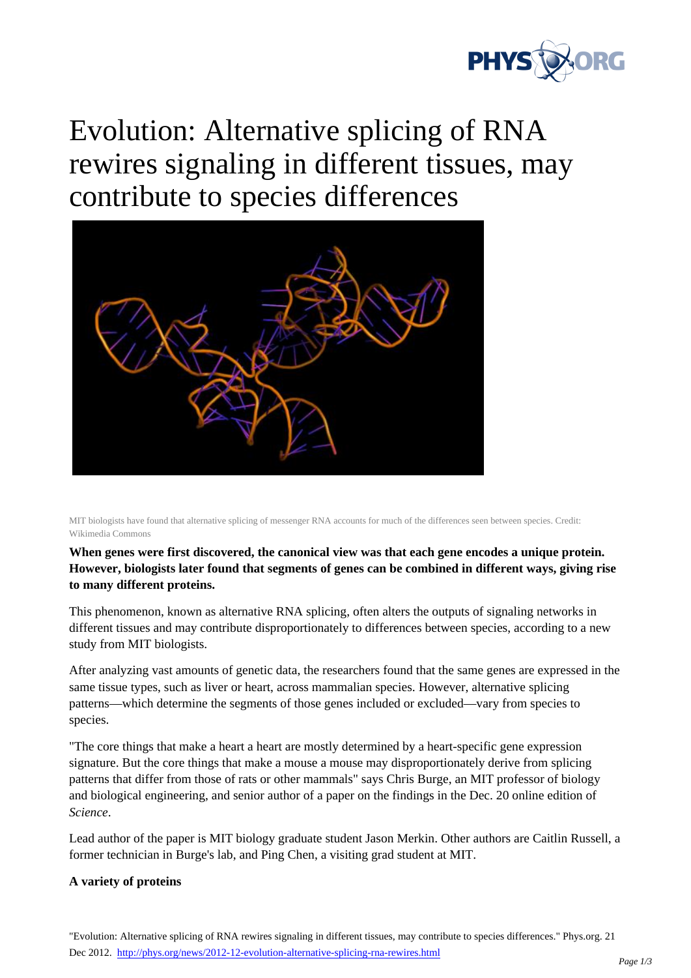

## Evolution: Alternative splicing of RNA rewires signaling in different tissues, may contribute to species differences



MIT biologists have found that alternative splicing of messenger RNA accounts for much of the differences seen between species. Credit: Wikimedia Commons

**When genes were first discovered, the canonical view was that each gene encodes a unique protein. However, biologists later found that segments of genes can be combined in different ways, giving rise to many different proteins.**

This phenomenon, known as alternative RNA splicing, often alters the outputs of signaling networks in different tissues and may contribute disproportionately to differences between species, according to a new study from MIT biologists.

After analyzing vast amounts of genetic data, the researchers found that the same genes are expressed in the same tissue types, such as liver or heart, across mammalian species. However, alternative splicing patterns—which determine the segments of those genes included or excluded—vary from species to species.

"The core things that make a heart a heart are mostly determined by a heart-specific gene expression signature. But the core things that make a mouse a mouse may disproportionately derive from splicing patterns that differ from those of rats or other mammals" says Chris Burge, an MIT professor of biology and biological engineering, and senior author of a paper on the findings in the Dec. 20 online edition of *Science*.

Lead author of the paper is MIT biology graduate student Jason Merkin. Other authors are Caitlin Russell, a former technician in Burge's lab, and Ping Chen, a visiting grad student at MIT.

## **A variety of proteins**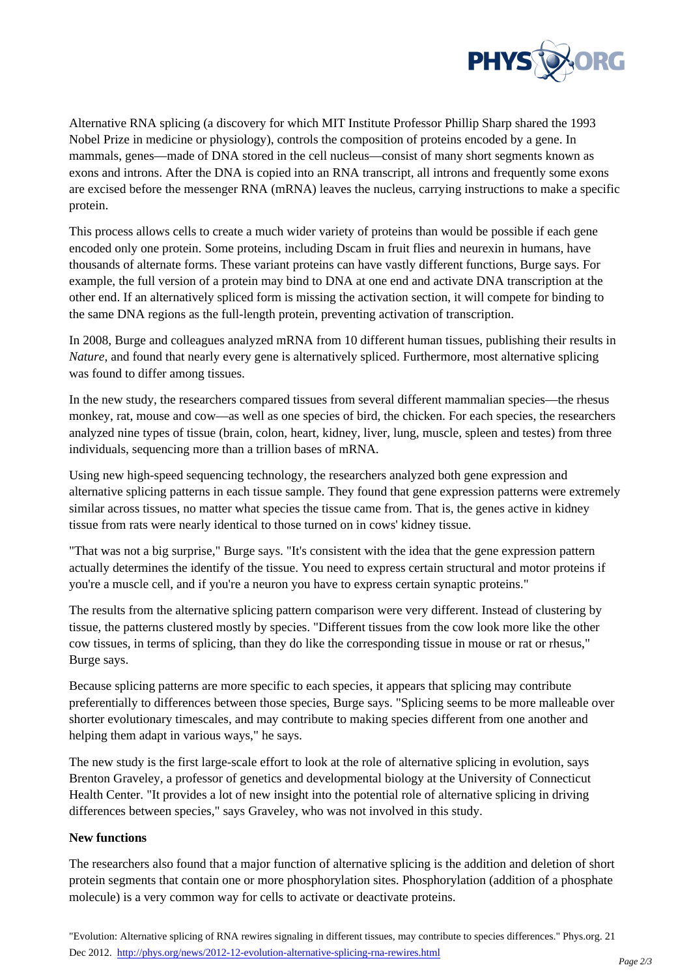

Alternative RNA splicing (a discovery for which MIT Institute Professor Phillip Sharp shared the 1993 Nobel Prize in medicine or physiology), controls the composition of proteins encoded by a gene. In mammals, genes—made of DNA stored in the cell nucleus—consist of many short segments known as exons and introns. After the DNA is copied into an RNA transcript, all introns and frequently some exons are excised before the messenger RNA (mRNA) leaves the nucleus, carrying instructions to make a specific protein.

This process allows cells to create a much wider variety of proteins than would be possible if each gene encoded only one protein. Some proteins, including Dscam in fruit flies and neurexin in humans, have thousands of alternate forms. These variant proteins can have vastly different functions, Burge says. For example, the full version of a protein may bind to DNA at one end and activate DNA transcription at the other end. If an alternatively spliced form is missing the activation section, it will compete for binding to the same DNA regions as the full-length protein, preventing activation of transcription.

In 2008, Burge and colleagues analyzed mRNA from 10 different human tissues, publishing their results in *Nature*, and found that nearly every gene is alternatively spliced. Furthermore, most alternative splicing was found to differ among tissues.

In the new study, the researchers compared tissues from several different mammalian species—the rhesus monkey, rat, mouse and cow—as well as one species of bird, the chicken. For each species, the researchers analyzed nine types of tissue (brain, colon, heart, kidney, liver, lung, muscle, spleen and testes) from three individuals, sequencing more than a trillion bases of mRNA.

Using new high-speed sequencing technology, the researchers analyzed both gene expression and alternative splicing patterns in each tissue sample. They found that gene expression patterns were extremely similar across tissues, no matter what species the tissue came from. That is, the genes active in kidney tissue from rats were nearly identical to those turned on in cows' kidney tissue.

"That was not a big surprise," Burge says. "It's consistent with the idea that the gene expression pattern actually determines the identify of the tissue. You need to express certain structural and motor proteins if you're a muscle cell, and if you're a neuron you have to express certain synaptic proteins."

The results from the alternative splicing pattern comparison were very different. Instead of clustering by tissue, the patterns clustered mostly by species. "Different tissues from the cow look more like the other cow tissues, in terms of splicing, than they do like the corresponding tissue in mouse or rat or rhesus," Burge says.

Because splicing patterns are more specific to each species, it appears that splicing may contribute preferentially to differences between those species, Burge says. "Splicing seems to be more malleable over shorter evolutionary timescales, and may contribute to making species different from one another and helping them adapt in various ways," he says.

The new study is the first large-scale effort to look at the role of alternative splicing in evolution, says Brenton Graveley, a professor of genetics and developmental biology at the University of Connecticut Health Center. "It provides a lot of new insight into the potential role of alternative splicing in driving differences between species," says Graveley, who was not involved in this study.

## **New functions**

The researchers also found that a major function of alternative splicing is the addition and deletion of short protein segments that contain one or more phosphorylation sites. Phosphorylation (addition of a phosphate molecule) is a very common way for cells to activate or deactivate proteins.